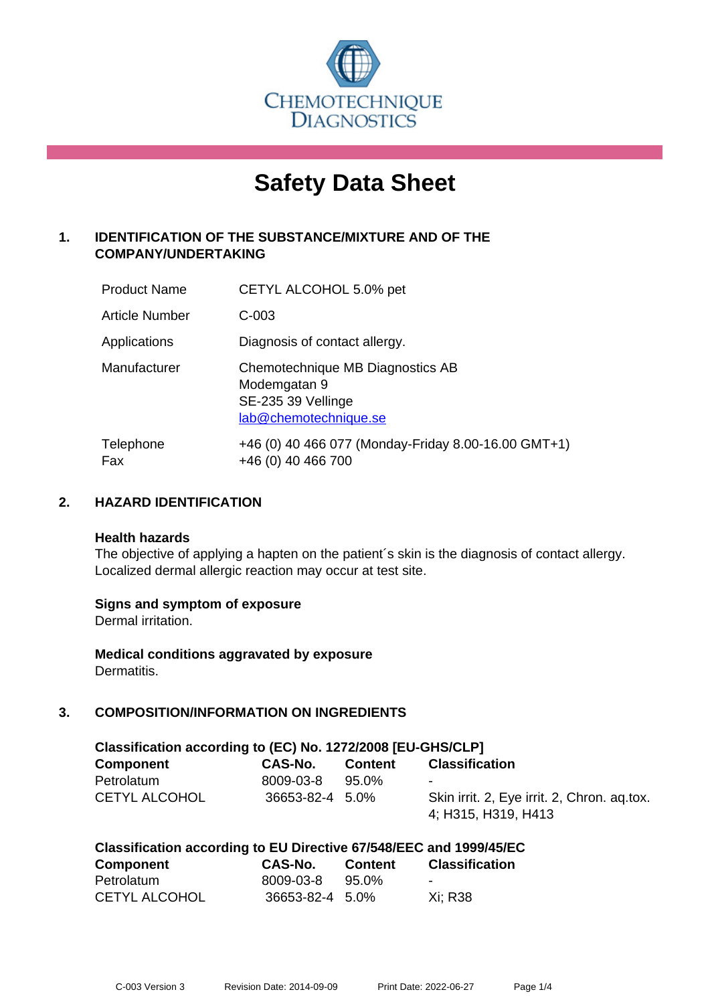

# **Safety Data Sheet**

# **1. IDENTIFICATION OF THE SUBSTANCE/MIXTURE AND OF THE COMPANY/UNDERTAKING**

| <b>Product Name</b> | CETYL ALCOHOL 5.0% pet                                                                          |
|---------------------|-------------------------------------------------------------------------------------------------|
| Article Number      | $C-003$                                                                                         |
| Applications        | Diagnosis of contact allergy.                                                                   |
| Manufacturer        | Chemotechnique MB Diagnostics AB<br>Modemgatan 9<br>SE-235 39 Vellinge<br>lab@chemotechnique.se |
| Telephone<br>Fax    | +46 (0) 40 466 077 (Monday-Friday 8.00-16.00 GMT+1)<br>+46 (0) 40 466 700                       |

## **2. HAZARD IDENTIFICATION**

#### **Health hazards**

The objective of applying a hapten on the patient's skin is the diagnosis of contact allergy. Localized dermal allergic reaction may occur at test site.

## **Signs and symptom of exposure**

Dermal irritation.

**Medical conditions aggravated by exposure** Dermatitis.

# **3. COMPOSITION/INFORMATION ON INGREDIENTS**

| Classification according to (EC) No. 1272/2008 [EU-GHS/CLP] |                 |         |                                                                    |
|-------------------------------------------------------------|-----------------|---------|--------------------------------------------------------------------|
| <b>Component</b>                                            | CAS-No.         | Content | <b>Classification</b>                                              |
| Petrolatum                                                  | 8009-03-8       | 95.0%   | $\blacksquare$                                                     |
| <b>CETYL ALCOHOL</b>                                        | 36653-82-4 5.0% |         | Skin irrit. 2, Eye irrit. 2, Chron. aq.tox.<br>4; H315, H319, H413 |

|            | Classification according to EU Directive 67/548/EEC and 1999/45/EC |  |              |
|------------|--------------------------------------------------------------------|--|--------------|
| <b>A</b> 4 |                                                                    |  | $\mathbf{A}$ |

| <b>Component</b>     | CAS-No.         | <b>Content</b> | <b>Classification</b>    |
|----------------------|-----------------|----------------|--------------------------|
| Petrolatum           | 8009-03-8       | 95.0%          | $\overline{\phantom{0}}$ |
| <b>CETYL ALCOHOL</b> | 36653-82-4 5.0% |                | Xi: R38                  |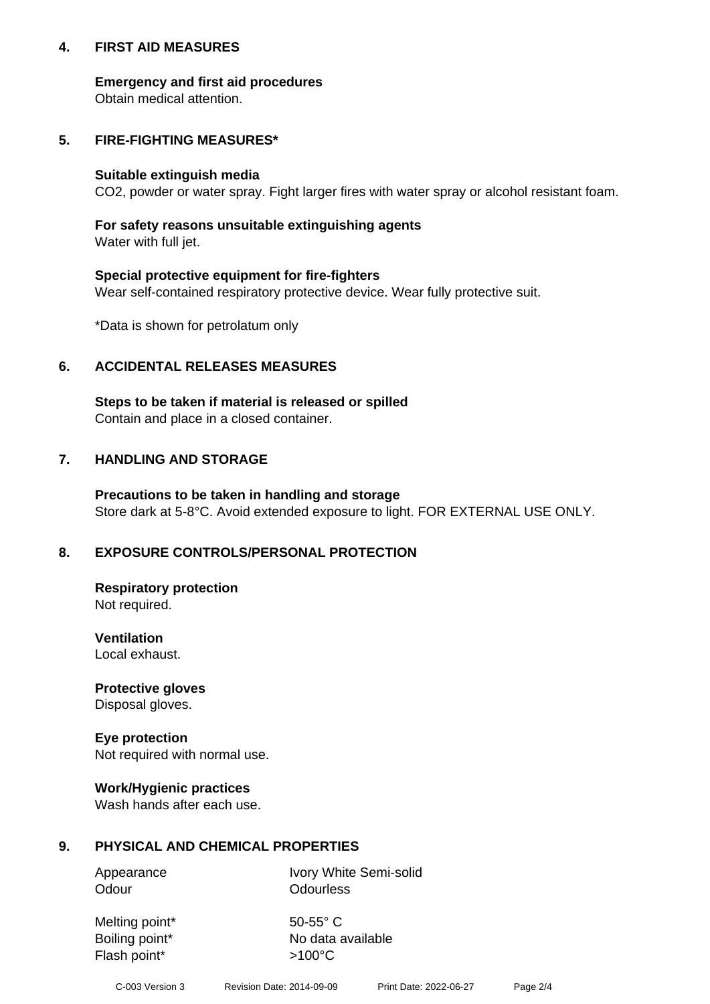## **4. FIRST AID MEASURES**

## **Emergency and first aid procedures**

Obtain medical attention.

# **5. FIRE-FIGHTING MEASURES\***

#### **Suitable extinguish media**

CO2, powder or water spray. Fight larger fires with water spray or alcohol resistant foam.

# **For safety reasons unsuitable extinguishing agents**

Water with full jet.

## **Special protective equipment for fire-fighters**

Wear self-contained respiratory protective device. Wear fully protective suit.

\*Data is shown for petrolatum only

## **6. ACCIDENTAL RELEASES MEASURES**

**Steps to be taken if material is released or spilled** Contain and place in a closed container.

# **7. HANDLING AND STORAGE**

**Precautions to be taken in handling and storage** Store dark at 5-8°C. Avoid extended exposure to light. FOR EXTERNAL USE ONLY.

# **8. EXPOSURE CONTROLS/PERSONAL PROTECTION**

**Respiratory protection** Not required.

**Ventilation** Local exhaust.

**Protective gloves** Disposal gloves.

#### **Eye protection** Not required with normal use.

## **Work/Hygienic practices**

Wash hands after each use.

## **9. PHYSICAL AND CHEMICAL PROPERTIES**

Odour **Odourless** 

Appearance Ivory White Semi-solid

Melting point\* 50-55° C Flash point\*  $>100^{\circ}$ C

Boiling point\* No data available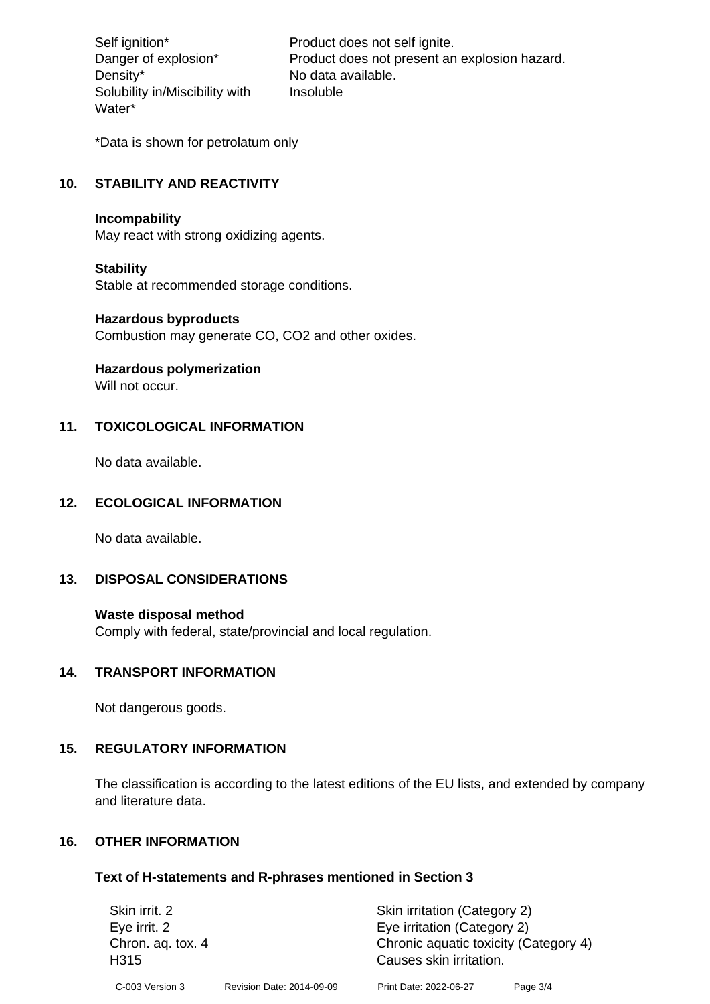Density\* No data available. Solubility in/Miscibility with Water\*

Self ignition\* Product does not self ignite. Danger of explosion\* Product does not present an explosion hazard. Insoluble

\*Data is shown for petrolatum only

# **10. STABILITY AND REACTIVITY**

#### **Incompability**

May react with strong oxidizing agents.

#### **Stability**

Stable at recommended storage conditions.

#### **Hazardous byproducts**

Combustion may generate CO, CO2 and other oxides.

**Hazardous polymerization**

Will not occur.

## **11. TOXICOLOGICAL INFORMATION**

No data available.

## **12. ECOLOGICAL INFORMATION**

No data available.

## **13. DISPOSAL CONSIDERATIONS**

#### **Waste disposal method**

Comply with federal, state/provincial and local regulation.

#### **14. TRANSPORT INFORMATION**

Not dangerous goods.

## **15. REGULATORY INFORMATION**

The classification is according to the latest editions of the EU lists, and extended by company and literature data.

#### **16. OTHER INFORMATION**

#### **Text of H-statements and R-phrases mentioned in Section 3**

| Skin irrit. 2             |                           | Skin irritation (Category 2)                                     |          |
|---------------------------|---------------------------|------------------------------------------------------------------|----------|
| Eye irrit. 2              |                           | Eye irritation (Category 2)                                      |          |
| Chron. aq. tox. 4<br>H315 |                           | Chronic aquatic toxicity (Category 4)<br>Causes skin irritation. |          |
| C-003 Version 3           | Revision Date: 2014-09-09 | Print Date: 2022-06-27                                           | Page 3/4 |